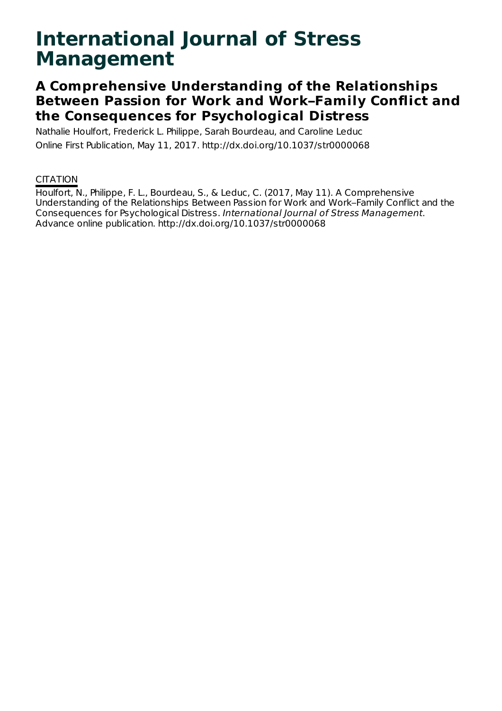# **International Journal of Stress Management**

# **A Comprehensive Understanding of the Relationships Between Passion for Work and Work–Family Conflict and the Consequences for Psychological Distress**

Nathalie Houlfort, Frederick L. Philippe, Sarah Bourdeau, and Caroline Leduc Online First Publication, May 11, 2017. http://dx.doi.org/10.1037/str0000068

## **CITATION**

Houlfort, N., Philippe, F. L., Bourdeau, S., & Leduc, C. (2017, May 11). A Comprehensive Understanding of the Relationships Between Passion for Work and Work–Family Conflict and the Consequences for Psychological Distress. International Journal of Stress Management. Advance online publication. http://dx.doi.org/10.1037/str0000068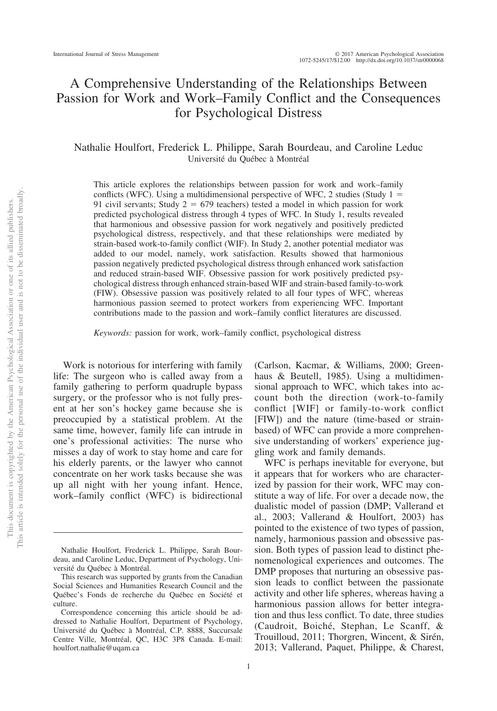### A Comprehensive Understanding of the Relationships Between Passion for Work and Work–Family Conflict and the Consequences for Psychological Distress

#### Nathalie Houlfort, Frederick L. Philippe, Sarah Bourdeau, and Caroline Leduc Université du Québec a` Montréal

This article explores the relationships between passion for work and work–family conflicts (WFC). Using a multidimensional perspective of WFC, 2 studies (Study  $1 =$ 91 civil servants; Study  $2 = 679$  teachers) tested a model in which passion for work predicted psychological distress through 4 types of WFC. In Study 1, results revealed that harmonious and obsessive passion for work negatively and positively predicted psychological distress, respectively, and that these relationships were mediated by strain-based work-to-family conflict (WIF). In Study 2, another potential mediator was added to our model, namely, work satisfaction. Results showed that harmonious passion negatively predicted psychological distress through enhanced work satisfaction and reduced strain-based WIF. Obsessive passion for work positively predicted psychological distress through enhanced strain-based WIF and strain-based family-to-work (FIW). Obsessive passion was positively related to all four types of WFC, whereas harmonious passion seemed to protect workers from experiencing WFC. Important contributions made to the passion and work–family conflict literatures are discussed.

*Keywords:* passion for work, work–family conflict, psychological distress

Work is notorious for interfering with family life: The surgeon who is called away from a family gathering to perform quadruple bypass surgery, or the professor who is not fully present at her son's hockey game because she is preoccupied by a statistical problem. At the same time, however, family life can intrude in one's professional activities: The nurse who misses a day of work to stay home and care for his elderly parents, or the lawyer who cannot concentrate on her work tasks because she was up all night with her young infant. Hence, work–family conflict (WFC) is bidirectional (Carlson, Kacmar, & Williams, 2000; Greenhaus & Beutell, 1985). Using a multidimensional approach to WFC, which takes into account both the direction (work-to-family conflict [WIF] or family-to-work conflict [FIW]) and the nature (time-based or strainbased) of WFC can provide a more comprehensive understanding of workers' experience juggling work and family demands.

WFC is perhaps inevitable for everyone, but it appears that for workers who are characterized by passion for their work, WFC may constitute a way of life. For over a decade now, the dualistic model of passion (DMP; Vallerand et al., 2003; Vallerand & Houlfort, 2003) has pointed to the existence of two types of passion, namely, harmonious passion and obsessive passion. Both types of passion lead to distinct phenomenological experiences and outcomes. The DMP proposes that nurturing an obsessive passion leads to conflict between the passionate activity and other life spheres, whereas having a harmonious passion allows for better integration and thus less conflict. To date, three studies (Caudroit, Boiché, Stephan, Le Scanff, & Trouilloud, 2011; Thorgren, Wincent, & Sirén, 2013; Vallerand, Paquet, Philippe, & Charest,

Nathalie Houlfort, Frederick L. Philippe, Sarah Bourdeau, and Caroline Leduc, Department of Psychology, Université du Québec a` Montréal.

This research was supported by grants from the Canadian Social Sciences and Humanities Research Council and the Québec's Fonds de recherche du Québec en Société et culture.

Correspondence concerning this article should be addressed to Nathalie Houlfort, Department of Psychology, Université du Québec a` Montréal, C.P. 8888, Succursale Centre Ville, Montréal, QC, H3C 3P8 Canada. E-mail: [houlfort.nathalie@uqam.ca](mailto:houlfort.nathalie@uqam.ca)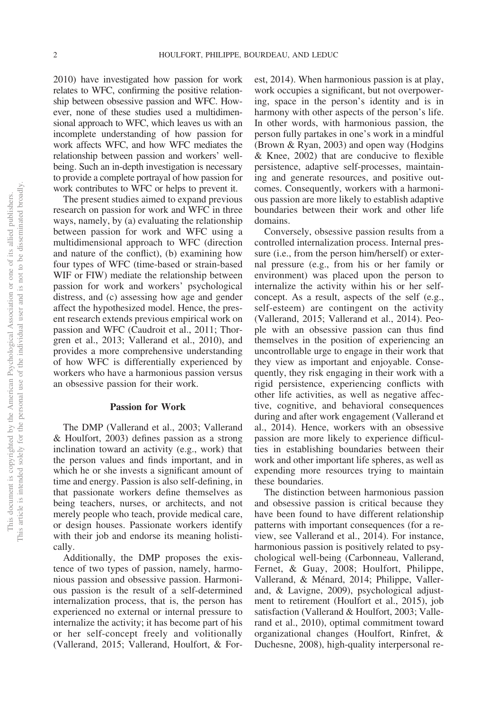2010) have investigated how passion for work relates to WFC, confirming the positive relationship between obsessive passion and WFC. However, none of these studies used a multidimensional approach to WFC, which leaves us with an incomplete understanding of how passion for work affects WFC, and how WFC mediates the relationship between passion and workers' wellbeing. Such an in-depth investigation is necessary to provide a complete portrayal of how passion for work contributes to WFC or helps to prevent it.

The present studies aimed to expand previous research on passion for work and WFC in three ways, namely, by (a) evaluating the relationship between passion for work and WFC using a multidimensional approach to WFC (direction and nature of the conflict), (b) examining how four types of WFC (time-based or strain-based WIF or FIW) mediate the relationship between passion for work and workers' psychological distress, and (c) assessing how age and gender affect the hypothesized model. Hence, the present research extends previous empirical work on passion and WFC (Caudroit et al., 2011; Thorgren et al., 2013; Vallerand et al., 2010), and provides a more comprehensive understanding of how WFC is differentially experienced by workers who have a harmonious passion versus an obsessive passion for their work.

#### **Passion for Work**

The DMP (Vallerand et al., 2003; Vallerand & Houlfort, 2003) defines passion as a strong inclination toward an activity (e.g., work) that the person values and finds important, and in which he or she invests a significant amount of time and energy. Passion is also self-defining, in that passionate workers define themselves as being teachers, nurses, or architects, and not merely people who teach, provide medical care, or design houses. Passionate workers identify with their job and endorse its meaning holistically.

Additionally, the DMP proposes the existence of two types of passion, namely, harmonious passion and obsessive passion. Harmonious passion is the result of a self-determined internalization process, that is, the person has experienced no external or internal pressure to internalize the activity; it has become part of his or her self-concept freely and volitionally [\(Vallerand, 2015;](#page-17-0) Vallerand, Houlfort, & Forest, 2014). When harmonious passion is at play, work occupies a significant, but not overpowering, space in the person's identity and is in harmony with other aspects of the person's life. In other words, with harmonious passion, the person fully partakes in one's work in a mindful (Brown & Ryan, 2003) and open way (Hodgins & Knee, 2002) that are conducive to flexible persistence, adaptive self-processes, maintaining and generate resources, and positive outcomes. Consequently, workers with a harmonious passion are more likely to establish adaptive boundaries between their work and other life domains.

Conversely, obsessive passion results from a controlled internalization process. Internal pressure (i.e., from the person him/herself) or external pressure (e.g., from his or her family or environment) was placed upon the person to internalize the activity within his or her selfconcept. As a result, aspects of the self (e.g., self-esteem) are contingent on the activity [\(Vallerand, 2015;](#page-17-0) Vallerand et al., 2014). People with an obsessive passion can thus find themselves in the position of experiencing an uncontrollable urge to engage in their work that they view as important and enjoyable. Consequently, they risk engaging in their work with a rigid persistence, experiencing conflicts with other life activities, as well as negative affective, cognitive, and behavioral consequences during and after work engagement (Vallerand et al., 2014). Hence, workers with an obsessive passion are more likely to experience difficulties in establishing boundaries between their work and other important life spheres, as well as expending more resources trying to maintain these boundaries.

The distinction between harmonious passion and obsessive passion is critical because they have been found to have different relationship patterns with important consequences (for a review, see Vallerand et al., 2014). For instance, harmonious passion is positively related to psychological well-being (Carbonneau, Vallerand, Fernet, & Guay, 2008; Houlfort, Philippe, Vallerand, & Ménard, 2014; Philippe, Vallerand, & Lavigne, 2009), psychological adjustment to retirement (Houlfort et al., 2015), job satisfaction (Vallerand & Houlfort, 2003; Vallerand et al., 2010), optimal commitment toward organizational changes (Houlfort, Rinfret, & Duchesne, 2008), high-quality interpersonal re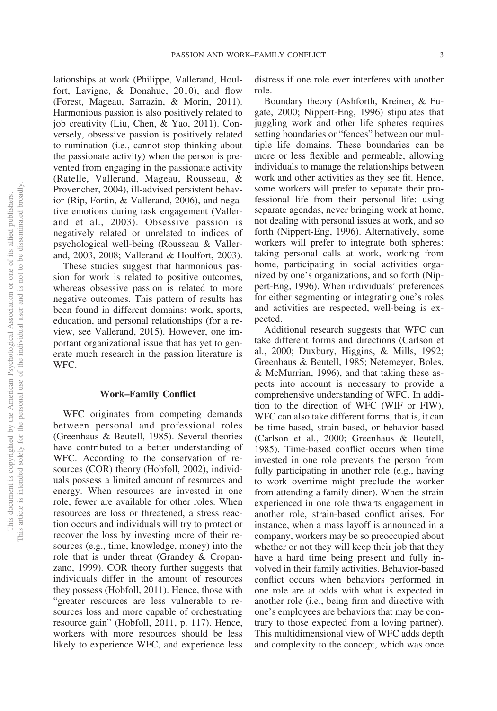lationships at work (Philippe, Vallerand, Houlfort, Lavigne, & Donahue, 2010), and flow (Forest, Mageau, Sarrazin, & Morin, 2011). Harmonious passion is also positively related to job creativity (Liu, Chen, & Yao, 2011). Conversely, obsessive passion is positively related to rumination (i.e., cannot stop thinking about the passionate activity) when the person is prevented from engaging in the passionate activity (Ratelle, Vallerand, Mageau, Rousseau, & Provencher, 2004), ill-advised persistent behavior (Rip, Fortin, & Vallerand, 2006), and negative emotions during task engagement (Vallerand et al., 2003). Obsessive passion is negatively related or unrelated to indices of psychological well-being (Rousseau & Vallerand, 2003, 2008; Vallerand & Houlfort, 2003).

These studies suggest that harmonious passion for work is related to positive outcomes, whereas obsessive passion is related to more negative outcomes. This pattern of results has been found in different domains: work, sports, education, and personal relationships (for a review, see [Vallerand, 2015\)](#page-17-0). However, one important organizational issue that has yet to generate much research in the passion literature is WFC.

#### **Work–Family Conflict**

WFC originates from competing demands between personal and professional roles (Greenhaus & Beutell, 1985). Several theories have contributed to a better understanding of WFC. According to the conservation of resources (COR) theory (Hobfoll, 2002), individuals possess a limited amount of resources and energy. When resources are invested in one role, fewer are available for other roles. When resources are loss or threatened, a stress reaction occurs and individuals will try to protect or recover the loss by investing more of their resources (e.g., time, knowledge, money) into the role that is under threat (Grandey & Cropanzano, 1999). COR theory further suggests that individuals differ in the amount of resources they possess [\(Hobfoll, 2011\)](#page-16-0). Hence, those with "greater resources are less vulnerable to resources loss and more capable of orchestrating resource gain" [\(Hobfoll, 2011,](#page-16-0) p. 117). Hence, workers with more resources should be less likely to experience WFC, and experience less

distress if one role ever interferes with another role.

Boundary theory (Ashforth, Kreiner, & Fugate, 2000; Nippert-Eng, 1996) stipulates that juggling work and other life spheres requires setting boundaries or "fences" between our multiple life domains. These boundaries can be more or less flexible and permeable, allowing individuals to manage the relationships between work and other activities as they see fit. Hence, some workers will prefer to separate their professional life from their personal life: using separate agendas, never bringing work at home, not dealing with personal issues at work, and so forth (Nippert-Eng, 1996). Alternatively, some workers will prefer to integrate both spheres: taking personal calls at work, working from home, participating in social activities organized by one's organizations, and so forth (Nippert-Eng, 1996). When individuals' preferences for either segmenting or integrating one's roles and activities are respected, well-being is expected.

Additional research suggests that WFC can take different forms and directions (Carlson et al., 2000; Duxbury, Higgins, & Mills, 1992; Greenhaus & Beutell, 1985; Netemeyer, Boles, & McMurrian, 1996), and that taking these aspects into account is necessary to provide a comprehensive understanding of WFC. In addition to the direction of WFC (WIF or FIW), WFC can also take different forms, that is, it can be time-based, strain-based, or behavior-based (Carlson et al., 2000; Greenhaus & Beutell, 1985). Time-based conflict occurs when time invested in one role prevents the person from fully participating in another role (e.g., having to work overtime might preclude the worker from attending a family diner). When the strain experienced in one role thwarts engagement in another role, strain-based conflict arises. For instance, when a mass layoff is announced in a company, workers may be so preoccupied about whether or not they will keep their job that they have a hard time being present and fully involved in their family activities. Behavior-based conflict occurs when behaviors performed in one role are at odds with what is expected in another role (i.e., being firm and directive with one's employees are behaviors that may be contrary to those expected from a loving partner). This multidimensional view of WFC adds depth and complexity to the concept, which was once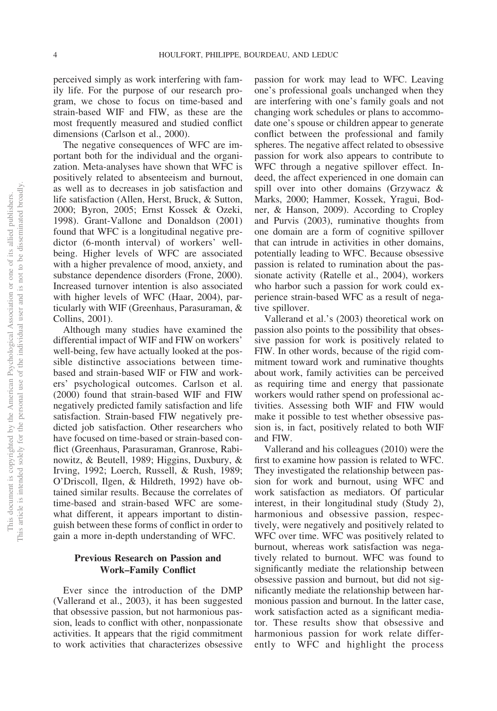perceived simply as work interfering with family life. For the purpose of our research program, we chose to focus on time-based and strain-based WIF and FIW, as these are the most frequently measured and studied conflict dimensions (Carlson et al., 2000).

The negative consequences of WFC are important both for the individual and the organization. Meta-analyses have shown that WFC is positively related to absenteeism and burnout, as well as to decreases in job satisfaction and life satisfaction (Allen, Herst, Bruck, & Sutton, 2000; Byron, 2005; [Ernst Kossek & Ozeki,](#page-15-0) [1998\)](#page-15-0). Grant-Vallone and Donaldson (2001) found that WFC is a longitudinal negative predictor (6-month interval) of workers' wellbeing. Higher levels of WFC are associated with a higher prevalence of mood, anxiety, and substance dependence disorders (Frone, 2000). Increased turnover intention is also associated with higher levels of WFC (Haar, 2004), particularly with WIF (Greenhaus, Parasuraman, & Collins, 2001).

Although many studies have examined the differential impact of WIF and FIW on workers' well-being, few have actually looked at the possible distinctive associations between timebased and strain-based WIF or FIW and workers' psychological outcomes. Carlson et al. (2000) found that strain-based WIF and FIW negatively predicted family satisfaction and life satisfaction. Strain-based FIW negatively predicted job satisfaction. Other researchers who have focused on time-based or strain-based conflict (Greenhaus, Parasuraman, Granrose, Rabinowitz, & Beutell, 1989; Higgins, Duxbury, & Irving, 1992; Loerch, Russell, & Rush, 1989; O'Driscoll, Ilgen, & Hildreth, 1992) have obtained similar results. Because the correlates of time-based and strain-based WFC are somewhat different, it appears important to distinguish between these forms of conflict in order to gain a more in-depth understanding of WFC.

#### **Previous Research on Passion and Work–Family Conflict**

Ever since the introduction of the DMP (Vallerand et al., 2003), it has been suggested that obsessive passion, but not harmonious passion, leads to conflict with other, nonpassionate activities. It appears that the rigid commitment to work activities that characterizes obsessive

passion for work may lead to WFC. Leaving one's professional goals unchanged when they are interfering with one's family goals and not changing work schedules or plans to accommodate one's spouse or children appear to generate conflict between the professional and family spheres. The negative affect related to obsessive passion for work also appears to contribute to WFC through a negative spillover effect. Indeed, the affect experienced in one domain can spill over into other domains (Grzywacz & Marks, 2000; Hammer, Kossek, Yragui, Bodner, & Hanson, 2009). According to Cropley and Purvis (2003), ruminative thoughts from one domain are a form of cognitive spillover that can intrude in activities in other domains, potentially leading to WFC. Because obsessive passion is related to rumination about the passionate activity (Ratelle et al., 2004), workers who harbor such a passion for work could experience strain-based WFC as a result of negative spillover.

Vallerand et al.'s (2003) theoretical work on passion also points to the possibility that obsessive passion for work is positively related to FIW. In other words, because of the rigid commitment toward work and ruminative thoughts about work, family activities can be perceived as requiring time and energy that passionate workers would rather spend on professional activities. Assessing both WIF and FIW would make it possible to test whether obsessive passion is, in fact, positively related to both WIF and FIW.

Vallerand and his colleagues (2010) were the first to examine how passion is related to WFC. They investigated the relationship between passion for work and burnout, using WFC and work satisfaction as mediators. Of particular interest, in their longitudinal study (Study 2), harmonious and obsessive passion, respectively, were negatively and positively related to WFC over time. WFC was positively related to burnout, whereas work satisfaction was negatively related to burnout. WFC was found to significantly mediate the relationship between obsessive passion and burnout, but did not significantly mediate the relationship between harmonious passion and burnout. In the latter case, work satisfaction acted as a significant mediator. These results show that obsessive and harmonious passion for work relate differently to WFC and highlight the process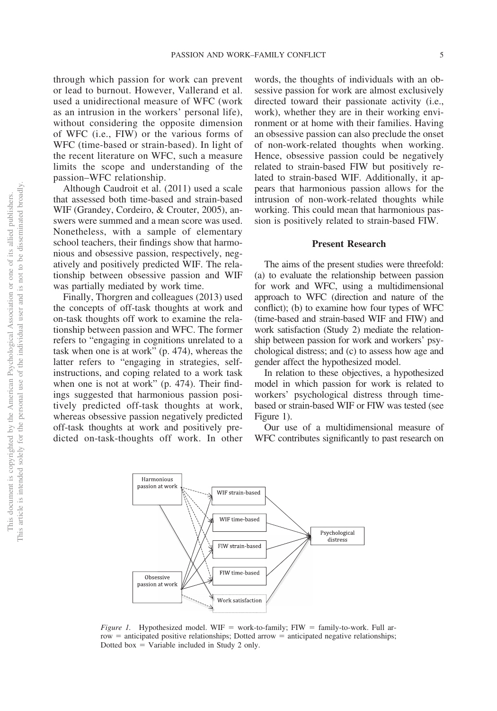through which passion for work can prevent or lead to burnout. However, Vallerand et al. used a unidirectional measure of WFC (work as an intrusion in the workers' personal life), without considering the opposite dimension of WFC (i.e., FIW) or the various forms of WFC (time-based or strain-based). In light of the recent literature on WFC, such a measure limits the scope and understanding of the passion–WFC relationship.

Although Caudroit et al. (2011) used a scale that assessed both time-based and strain-based WIF (Grandey, Cordeiro, & Crouter, 2005), answers were summed and a mean score was used. Nonetheless, with a sample of elementary school teachers, their findings show that harmonious and obsessive passion, respectively, negatively and positively predicted WIF. The relationship between obsessive passion and WIF was partially mediated by work time.

Finally, Thorgren and colleagues (2013) used the concepts of off-task thoughts at work and on-task thoughts off work to examine the relationship between passion and WFC. The former refers to "engaging in cognitions unrelated to a task when one is at work" (p. 474), whereas the latter refers to "engaging in strategies, selfinstructions, and coping related to a work task when one is not at work" (p. 474). Their findings suggested that harmonious passion positively predicted off-task thoughts at work, whereas obsessive passion negatively predicted off-task thoughts at work and positively predicted on-task-thoughts off work. In other

words, the thoughts of individuals with an obsessive passion for work are almost exclusively directed toward their passionate activity (i.e., work), whether they are in their working environment or at home with their families. Having an obsessive passion can also preclude the onset of non-work-related thoughts when working. Hence, obsessive passion could be negatively related to strain-based FIW but positively related to strain-based WIF. Additionally, it appears that harmonious passion allows for the intrusion of non-work-related thoughts while working. This could mean that harmonious passion is positively related to strain-based FIW.

#### **Present Research**

The aims of the present studies were threefold: (a) to evaluate the relationship between passion for work and WFC, using a multidimensional approach to WFC (direction and nature of the conflict); (b) to examine how four types of WFC (time-based and strain-based WIF and FIW) and work satisfaction (Study 2) mediate the relationship between passion for work and workers' psychological distress; and (c) to assess how age and gender affect the hypothesized model.

In relation to these objectives, a hypothesized model in which passion for work is related to workers' psychological distress through timebased or strain-based WIF or FIW was tested (see Figure 1).

Our use of a multidimensional measure of WFC contributes significantly to past research on



*Figure 1.* Hypothesized model. WIF = work-to-family; FIW = family-to-work. Full arrow = anticipated positive relationships; Dotted arrow = anticipated negative relationships; Dotted box  $=$  Variable included in Study 2 only.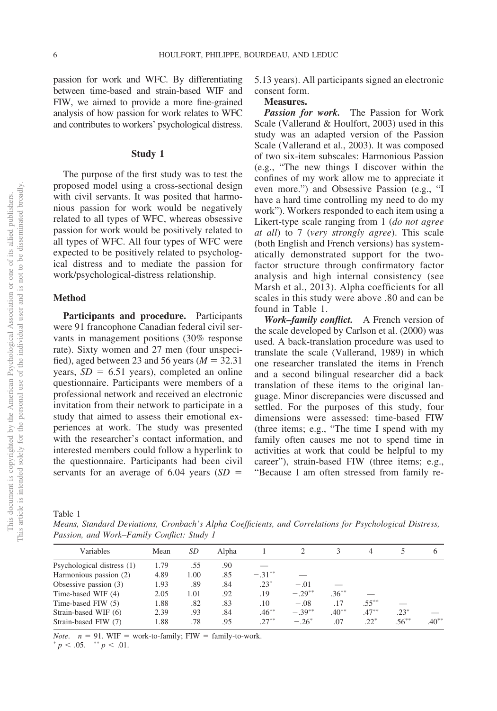passion for work and WFC. By differentiating between time-based and strain-based WIF and FIW, we aimed to provide a more fine-grained analysis of how passion for work relates to WFC and contributes to workers' psychological distress.

#### **Study 1**

The purpose of the first study was to test the proposed model using a cross-sectional design with civil servants. It was posited that harmonious passion for work would be negatively related to all types of WFC, whereas obsessive passion for work would be positively related to all types of WFC. All four types of WFC were expected to be positively related to psychological distress and to mediate the passion for work/psychological-distress relationship.

#### **Method**

**Participants and procedure.** Participants were 91 francophone Canadian federal civil servants in management positions (30% response rate). Sixty women and 27 men (four unspecified), aged between 23 and 56 years  $(M = 32.31)$ years,  $SD = 6.51$  years), completed an online questionnaire. Participants were members of a professional network and received an electronic invitation from their network to participate in a study that aimed to assess their emotional experiences at work. The study was presented with the researcher's contact information, and interested members could follow a hyperlink to the questionnaire. Participants had been civil servants for an average of  $6.04$  years  $(SD =$ 

5.13 years). All participants signed an electronic consent form.

#### **Measures.**

*Passion for work.* The Passion for Work Scale (Vallerand & Houlfort, 2003) used in this study was an adapted version of the Passion Scale (Vallerand et al., 2003). It was composed of two six-item subscales: Harmonious Passion (e.g., "The new things I discover within the confines of my work allow me to appreciate it even more.") and Obsessive Passion (e.g., "I have a hard time controlling my need to do my work"). Workers responded to each item using a Likert-type scale ranging from 1 (*do not agree at all*) to 7 (*very strongly agree*). This scale (both English and French versions) has systematically demonstrated support for the twofactor structure through confirmatory factor analysis and high internal consistency (see Marsh et al., 2013). Alpha coefficients for all scales in this study were above .80 and can be found in Table 1.

*Work–family conflict.* A French version of the scale developed by Carlson et al. (2000) was used. A back-translation procedure was used to translate the scale [\(Vallerand, 1989\)](#page-17-1) in which one researcher translated the items in French and a second bilingual researcher did a back translation of these items to the original language. Minor discrepancies were discussed and settled. For the purposes of this study, four dimensions were assessed: time-based FIW (three items; e.g., "The time I spend with my family often causes me not to spend time in activities at work that could be helpful to my career"), strain-based FIW (three items; e.g., "Because I am often stressed from family re-

Table 1

*Means, Standard Deviations, Cronbach's Alpha Coefficients, and Correlations for Psychological Distress, Passion, and Work–Family Conflict: Study 1*

| Variables                  | Mean | SD   | Alpha |           |          |          | 4        |          | $\sigma$ |
|----------------------------|------|------|-------|-----------|----------|----------|----------|----------|----------|
| Psychological distress (1) | 1.79 | .55  | .90   |           |          |          |          |          |          |
| Harmonious passion (2)     | 4.89 | 1.00 | .85   | $-.31***$ |          |          |          |          |          |
| Obsessive passion (3)      | 1.93 | .89  | .84   | $.23*$    | $-.01$   |          |          |          |          |
| Time-based WIF (4)         | 2.05 | 1.01 | .92   | .19       | $-.29**$ | $.36***$ |          |          |          |
| Time-based FIW (5)         | 1.88 | .82  | .83   | .10       | $-.08$   | .17      | $.55***$ |          |          |
| Strain-based WIF (6)       | 2.39 | .93  | .84   | $.46***$  | $-.39**$ | $.40**$  | $.47***$ | $.23*$   |          |
| Strain-based FIW (7)       | 1.88 | .78  | .95   | $27***$   | $-.26^*$ | .07      | $22^*$   | $.56***$ | $.40***$ |
|                            |      |      |       |           |          |          |          |          |          |

*Note.*  $n = 91$ . WIF = work-to-family; FIW = family-to-work.

 $p < .05.$  \*\*  $p < .01.$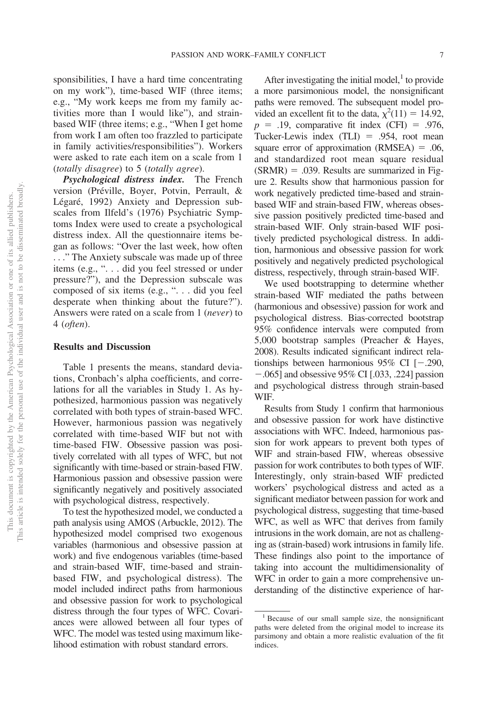sponsibilities, I have a hard time concentrating on my work"), time-based WIF (three items; e.g., "My work keeps me from my family activities more than I would like"), and strainbased WIF (three items; e.g., "When I get home from work I am often too frazzled to participate in family activities/responsibilities"). Workers were asked to rate each item on a scale from 1 (*totally disagree*) to 5 (*totally agree*).

*Psychological distress index.* The French version (Préville, Boyer, Potvin, Perrault, & Légaré, 1992) Anxiety and Depression subscales from Ilfeld's (1976) Psychiatric Symptoms Index were used to create a psychological distress index. All the questionnaire items began as follows: "Over the last week, how often . . ." The Anxiety subscale was made up of three items (e.g., ". . . did you feel stressed or under pressure?"), and the Depression subscale was composed of six items (e.g., ". . . did you feel desperate when thinking about the future?"). Answers were rated on a scale from 1 (*never*) to 4 (*often*).

#### **Results and Discussion**

Table 1 presents the means, standard deviations, Cronbach's alpha coefficients, and correlations for all the variables in Study 1. As hypothesized, harmonious passion was negatively correlated with both types of strain-based WFC. However, harmonious passion was negatively correlated with time-based WIF but not with time-based FIW. Obsessive passion was positively correlated with all types of WFC, but not significantly with time-based or strain-based FIW. Harmonious passion and obsessive passion were significantly negatively and positively associated with psychological distress, respectively.

To test the hypothesized model, we conducted a path analysis using AMOS (Arbuckle, 2012). The hypothesized model comprised two exogenous variables (harmonious and obsessive passion at work) and five endogenous variables (time-based and strain-based WIF, time-based and strainbased FIW, and psychological distress). The model included indirect paths from harmonious and obsessive passion for work to psychological distress through the four types of WFC. Covariances were allowed between all four types of WFC. The model was tested using maximum likelihood estimation with robust standard errors.

After investigating the initial model, $\frac{1}{1}$  to provide a more parsimonious model, the nonsignificant paths were removed. The subsequent model provided an excellent fit to the data,  $\chi^2(11) = 14.92$ ,  $p = .19$ , comparative fit index (CFI) = .976, Tucker-Lewis index  $(TLI) = .954$ , root mean square error of approximation  $(RMSEA) = .06$ , and standardized root mean square residual  $(SRMR) = .039$ . Results are summarized in Figure 2. Results show that harmonious passion for work negatively predicted time-based and strainbased WIF and strain-based FIW, whereas obsessive passion positively predicted time-based and strain-based WIF. Only strain-based WIF positively predicted psychological distress. In addition, harmonious and obsessive passion for work positively and negatively predicted psychological distress, respectively, through strain-based WIF.

We used bootstrapping to determine whether strain-based WIF mediated the paths between (harmonious and obsessive) passion for work and psychological distress. Bias-corrected bootstrap 95% confidence intervals were computed from 5,000 bootstrap samples (Preacher & Hayes, 2008). Results indicated significant indirect relationships between harmonious  $95\%$  CI [ $-.290$ ,  $-.065$ ] and obsessive 95% CI [.033, .224] passion and psychological distress through strain-based WIF.

Results from Study 1 confirm that harmonious and obsessive passion for work have distinctive associations with WFC. Indeed, harmonious passion for work appears to prevent both types of WIF and strain-based FIW, whereas obsessive passion for work contributes to both types of WIF. Interestingly, only strain-based WIF predicted workers' psychological distress and acted as a significant mediator between passion for work and psychological distress, suggesting that time-based WFC, as well as WFC that derives from family intrusions in the work domain, are not as challenging as (strain-based) work intrusions in family life. These findings also point to the importance of taking into account the multidimensionality of WFC in order to gain a more comprehensive understanding of the distinctive experience of har-

<sup>&</sup>lt;sup>1</sup> Because of our small sample size, the nonsignificant paths were deleted from the original model to increase its parsimony and obtain a more realistic evaluation of the fit indices.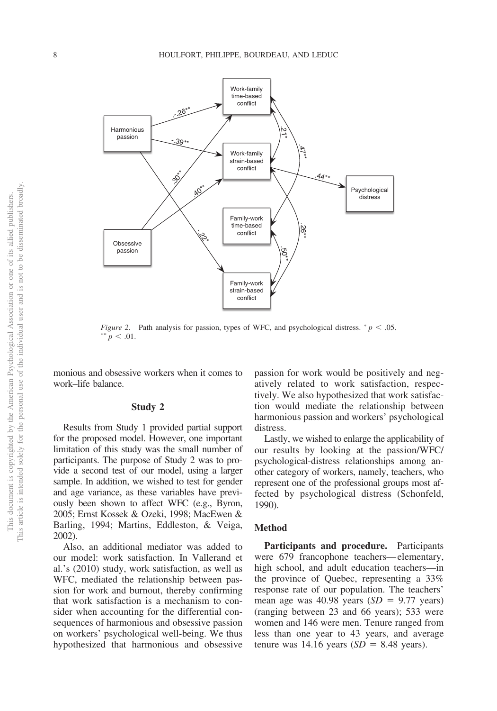

*Figure 2.* Path analysis for passion, types of WFC, and psychological distress.  $p < .05$ .  $p^* = 0.01$ .

monious and obsessive workers when it comes to work–life balance.

#### **Study 2**

Results from Study 1 provided partial support for the proposed model. However, one important limitation of this study was the small number of participants. The purpose of Study 2 was to provide a second test of our model, using a larger sample. In addition, we wished to test for gender and age variance, as these variables have previously been shown to affect WFC (e.g., Byron, 2005; [Ernst Kossek & Ozeki, 1998;](#page-15-0) MacEwen & Barling, 1994; Martins, Eddleston, & Veiga, 2002).

Also, an additional mediator was added to our model: work satisfaction. In Vallerand et al.'s (2010) study, work satisfaction, as well as WFC, mediated the relationship between passion for work and burnout, thereby confirming that work satisfaction is a mechanism to consider when accounting for the differential consequences of harmonious and obsessive passion on workers' psychological well-being. We thus hypothesized that harmonious and obsessive

passion for work would be positively and negatively related to work satisfaction, respectively. We also hypothesized that work satisfaction would mediate the relationship between harmonious passion and workers' psychological distress.

Lastly, we wished to enlarge the applicability of our results by looking at the passion/WFC/ psychological-distress relationships among another category of workers, namely, teachers, who represent one of the professional groups most affected by psychological distress (Schonfeld, 1990).

#### **Method**

**Participants and procedure.** Participants were 679 francophone teachers—elementary, high school, and adult education teachers—in the province of Quebec, representing a 33% response rate of our population. The teachers' mean age was  $40.98$  years  $(SD = 9.77$  years) (ranging between 23 and 66 years); 533 were women and 146 were men. Tenure ranged from less than one year to 43 years, and average tenure was  $14.16$  years  $(SD = 8.48$  years).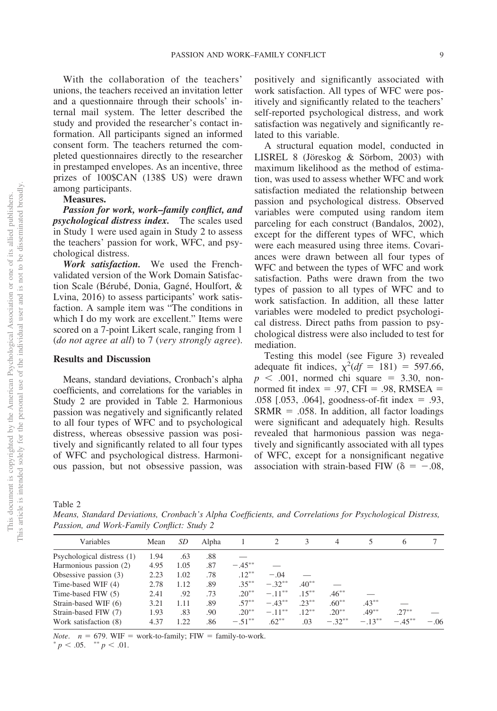With the collaboration of the teachers' unions, the teachers received an invitation letter and a questionnaire through their schools' internal mail system. The letter described the study and provided the researcher's contact information. All participants signed an informed consent form. The teachers returned the completed questionnaires directly to the researcher in prestamped envelopes. As an incentive, three prizes of 100\$CAN (138\$ US) were drawn

#### among participants. **Measures.**

*Passion for work, work–family conflict, and psychological distress index.* The scales used in Study 1 were used again in Study 2 to assess the teachers' passion for work, WFC, and psychological distress.

*Work satisfaction.* We used the Frenchvalidated version of the Work Domain Satisfaction Scale (Bérubé, Donia, Gagné, Houlfort, & Lvina, 2016) to assess participants' work satisfaction. A sample item was "The conditions in which I do my work are excellent." Items were scored on a 7-point Likert scale, ranging from 1 (*do not agree at all*) to 7 (*very strongly agree*).

#### **Results and Discussion**

Means, standard deviations, Cronbach's alpha coefficients, and correlations for the variables in Study 2 are provided in Table 2. Harmonious passion was negatively and significantly related to all four types of WFC and to psychological distress, whereas obsessive passion was positively and significantly related to all four types of WFC and psychological distress. Harmonious passion, but not obsessive passion, was positively and significantly associated with work satisfaction. All types of WFC were positively and significantly related to the teachers' self-reported psychological distress, and work satisfaction was negatively and significantly related to this variable.

A structural equation model, conducted in LISREL 8 [\(Jöreskog & Sörbom, 2003\)](#page-16-1) with maximum likelihood as the method of estimation, was used to assess whether WFC and work satisfaction mediated the relationship between passion and psychological distress. Observed variables were computed using random item parceling for each construct (Bandalos, 2002), except for the different types of WFC, which were each measured using three items. Covariances were drawn between all four types of WFC and between the types of WFC and work satisfaction. Paths were drawn from the two types of passion to all types of WFC and to work satisfaction. In addition, all these latter variables were modeled to predict psychological distress. Direct paths from passion to psychological distress were also included to test for mediation.

Testing this model (see [Figure 3\)](#page-10-0) revealed adequate fit indices,  $\chi^2(df = 181) = 597.66$ ,  $p \leq 0.001$ , normed chi square = 3.30, nonnormed fit index  $= .97$ , CFI  $= .98$ , RMSEA  $=$ .058 [.053, .064], goodness-of-fit index  $= .93$ ,  $SRMR = .058$ . In addition, all factor loadings were significant and adequately high. Results revealed that harmonious passion was negatively and significantly associated with all types of WFC, except for a nonsignificant negative association with strain-based FIW ( $\delta = -.08$ ,

Table 2

*Means, Standard Deviations, Cronbach's Alpha Coefficients, and Correlations for Psychological Distress, Passion, and Work-Family Conflict: Study 2*

| Variables                  | Mean | SD.  | Alpha |           |           | 3        | 4         |          | 6        |        |
|----------------------------|------|------|-------|-----------|-----------|----------|-----------|----------|----------|--------|
| Psychological distress (1) | 1.94 | .63  | .88   |           |           |          |           |          |          |        |
| Harmonious passion (2)     | 4.95 | 1.05 | .87   | $-.45***$ |           |          |           |          |          |        |
| Obsessive passion $(3)$    | 2.23 | 1.02 | .78   | $.12***$  | $-.04$    |          |           |          |          |        |
| Time-based WIF (4)         | 2.78 | 1.12 | .89   | $.35***$  | $-.32***$ | $.40**$  |           |          |          |        |
| Time-based FIW (5)         | 2.41 | .92  | .73   | $20^{**}$ | $-11***$  | $.15***$ | $.46***$  |          |          |        |
| Strain-based WIF (6)       | 3.21 | 1.11 | .89   | $.57***$  | $-.43***$ | $.23***$ | $.60***$  | $.43***$ |          |        |
| Strain-based FIW (7)       | 1.93 | .83  | .90   | $.20**$   | $-.11***$ | $.12***$ | $.20**$   | $.49***$ | $.27***$ |        |
| Work satisfaction (8)      | 4.37 | 122  | .86   | $-.51***$ | $.62***$  | .03      | $-.32***$ | $-13**$  | $-45**$  | $-.06$ |
|                            |      |      |       |           |           |          |           |          |          |        |

*Note.*  $n = 679$ . WIF = work-to-family; FIW = family-to-work.

 $p < .05.$  \*\*  $p < .01.$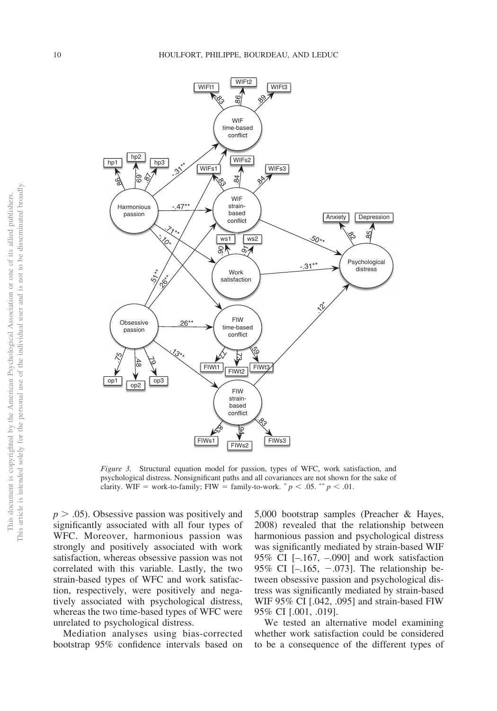

<span id="page-10-0"></span>*Figure 3.* Structural equation model for passion, types of WFC, work satisfaction, and psychological distress. Nonsignificant paths and all covariances are not shown for the sake of clarity. WIF = work-to-family; FIW = family-to-work.  $^*p < .05$ .  $^{**}p < .01$ .

 $p > .05$ ). Obsessive passion was positively and significantly associated with all four types of WFC. Moreover, harmonious passion was strongly and positively associated with work satisfaction, whereas obsessive passion was not correlated with this variable. Lastly, the two strain-based types of WFC and work satisfaction, respectively, were positively and negatively associated with psychological distress, whereas the two time-based types of WFC were unrelated to psychological distress.

Mediation analyses using bias-corrected bootstrap 95% confidence intervals based on

5,000 bootstrap samples (Preacher & Hayes, 2008) revealed that the relationship between harmonious passion and psychological distress was significantly mediated by strain-based WIF 95% CI [–.167, –.090] and work satisfaction 95% CI  $[-.165, -.073]$ . The relationship between obsessive passion and psychological distress was significantly mediated by strain-based WIF 95% CI [.042, .095] and strain-based FIW 95% CI [.001, .019].

We tested an alternative model examining whether work satisfaction could be considered to be a consequence of the different types of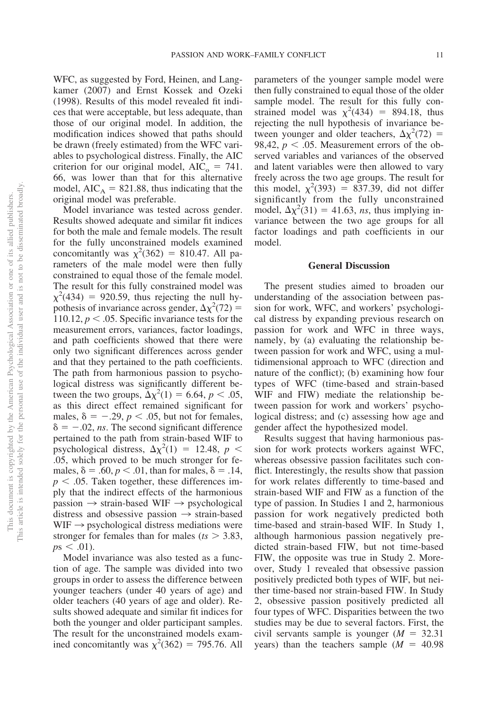WFC, as suggested by Ford, Heinen, and Langkamer (2007) and [Ernst Kossek and Ozeki](#page-15-0) [\(1998\).](#page-15-0) Results of this model revealed fit indices that were acceptable, but less adequate, than those of our original model. In addition, the modification indices showed that paths should be drawn (freely estimated) from the WFC variables to psychological distress. Finally, the AIC criterion for our original model,  $AIC_0 = 741$ . 66, was lower than that for this alternative model,  $AIC_A = 821.88$ , thus indicating that the original model was preferable.

Model invariance was tested across gender. Results showed adequate and similar fit indices for both the male and female models. The result for the fully unconstrained models examined concomitantly was  $\chi^2(362) = 810.47$ . All parameters of the male model were then fully constrained to equal those of the female model. The result for this fully constrained model was  $\chi^2(434) = 920.59$ , thus rejecting the null hypothesis of invariance across gender,  $\Delta \chi^2$ (72) = 110.12,  $p < 0.05$ . Specific invariance tests for the measurement errors, variances, factor loadings, and path coefficients showed that there were only two significant differences across gender and that they pertained to the path coefficients. The path from harmonious passion to psychological distress was significantly different between the two groups,  $\Delta \chi^2(1) = 6.64$ ,  $p < .05$ , as this direct effect remained significant for males,  $\delta = -0.29$ ,  $p < 0.05$ , but not for females,  $\delta = -0.02$ , *ns*. The second significant difference pertained to the path from strain-based WIF to psychological distress,  $\Delta \chi^2(1) = 12.48$ ,  $p <$ .05, which proved to be much stronger for females,  $\delta = .60, p < .01$ , than for males,  $\delta = .14$ ,  $p < .05$ . Taken together, these differences imply that the indirect effects of the harmonious  $passion \rightarrow strain-based WIF \rightarrow psychological$ distress and obsessive passion  $\rightarrow$  strain-based  $WIF \rightarrow$  psychological distress mediations were stronger for females than for males ( $ts > 3.83$ ,  $p s < .01$ ).

Model invariance was also tested as a function of age. The sample was divided into two groups in order to assess the difference between younger teachers (under 40 years of age) and older teachers (40 years of age and older). Results showed adequate and similar fit indices for both the younger and older participant samples. The result for the unconstrained models examined concomitantly was  $\chi^2(362) = 795.76$ . All parameters of the younger sample model were then fully constrained to equal those of the older sample model. The result for this fully constrained model was  $\chi^2(434) = 894.18$ , thus rejecting the null hypothesis of invariance between younger and older teachers,  $\Delta \chi^2$ (72) = 98,42,  $p < .05$ . Measurement errors of the observed variables and variances of the observed and latent variables were then allowed to vary freely across the two age groups. The result for this model,  $\chi^2(393) = 837.39$ , did not differ significantly from the fully unconstrained model,  $\Delta \chi^2(31) = 41.63$ , *ns*, thus implying invariance between the two age groups for all factor loadings and path coefficients in our model.

#### **General Discussion**

The present studies aimed to broaden our understanding of the association between passion for work, WFC, and workers' psychological distress by expanding previous research on passion for work and WFC in three ways, namely, by (a) evaluating the relationship between passion for work and WFC, using a multidimensional approach to WFC (direction and nature of the conflict); (b) examining how four types of WFC (time-based and strain-based WIF and FIW) mediate the relationship between passion for work and workers' psychological distress; and (c) assessing how age and gender affect the hypothesized model.

Results suggest that having harmonious passion for work protects workers against WFC, whereas obsessive passion facilitates such conflict. Interestingly, the results show that passion for work relates differently to time-based and strain-based WIF and FIW as a function of the type of passion. In Studies 1 and 2, harmonious passion for work negatively predicted both time-based and strain-based WIF. In Study 1, although harmonious passion negatively predicted strain-based FIW, but not time-based FIW, the opposite was true in Study 2. Moreover, Study 1 revealed that obsessive passion positively predicted both types of WIF, but neither time-based nor strain-based FIW. In Study 2, obsessive passion positively predicted all four types of WFC. Disparities between the two studies may be due to several factors. First, the civil servants sample is younger  $(M = 32.31)$ years) than the teachers sample  $(M = 40.98)$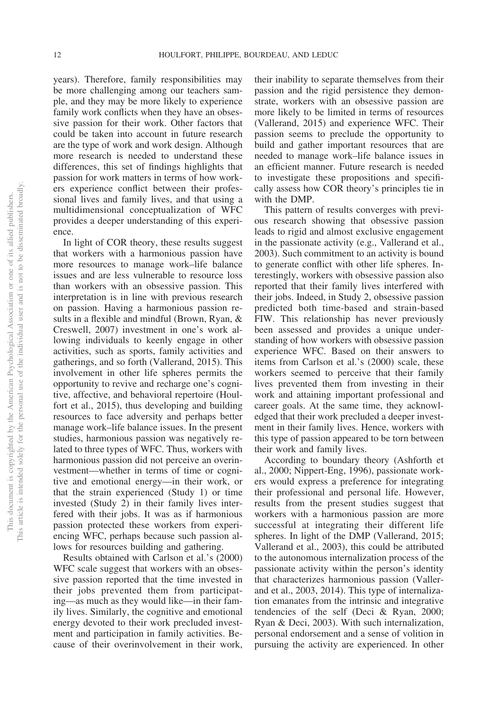years). Therefore, family responsibilities may be more challenging among our teachers sample, and they may be more likely to experience family work conflicts when they have an obsessive passion for their work. Other factors that could be taken into account in future research are the type of work and work design. Although more research is needed to understand these differences, this set of findings highlights that passion for work matters in terms of how workers experience conflict between their professional lives and family lives, and that using a multidimensional conceptualization of WFC provides a deeper understanding of this experience.

In light of COR theory, these results suggest that workers with a harmonious passion have more resources to manage work–life balance issues and are less vulnerable to resource loss than workers with an obsessive passion. This interpretation is in line with previous research on passion. Having a harmonious passion results in a flexible and mindful (Brown, Ryan, & Creswell, 2007) investment in one's work allowing individuals to keenly engage in other activities, such as sports, family activities and gatherings, and so forth [\(Vallerand, 2015\)](#page-17-0). This involvement in other life spheres permits the opportunity to revive and recharge one's cognitive, affective, and behavioral repertoire (Houlfort et al., 2015), thus developing and building resources to face adversity and perhaps better manage work–life balance issues. In the present studies, harmonious passion was negatively related to three types of WFC. Thus, workers with harmonious passion did not perceive an overinvestment—whether in terms of time or cognitive and emotional energy—in their work, or that the strain experienced (Study 1) or time invested (Study 2) in their family lives interfered with their jobs. It was as if harmonious passion protected these workers from experiencing WFC, perhaps because such passion allows for resources building and gathering.

Results obtained with Carlson et al.'s (2000) WFC scale suggest that workers with an obsessive passion reported that the time invested in their jobs prevented them from participating—as much as they would like—in their family lives. Similarly, the cognitive and emotional energy devoted to their work precluded investment and participation in family activities. Because of their overinvolvement in their work, their inability to separate themselves from their passion and the rigid persistence they demonstrate, workers with an obsessive passion are more likely to be limited in terms of resources [\(Vallerand, 2015\)](#page-17-0) and experience WFC. Their passion seems to preclude the opportunity to build and gather important resources that are needed to manage work–life balance issues in an efficient manner. Future research is needed to investigate these propositions and specifically assess how COR theory's principles tie in with the DMP.

This pattern of results converges with previous research showing that obsessive passion leads to rigid and almost exclusive engagement in the passionate activity (e.g., Vallerand et al., 2003). Such commitment to an activity is bound to generate conflict with other life spheres. Interestingly, workers with obsessive passion also reported that their family lives interfered with their jobs. Indeed, in Study 2, obsessive passion predicted both time-based and strain-based FIW. This relationship has never previously been assessed and provides a unique understanding of how workers with obsessive passion experience WFC. Based on their answers to items from Carlson et al.'s (2000) scale, these workers seemed to perceive that their family lives prevented them from investing in their work and attaining important professional and career goals. At the same time, they acknowledged that their work precluded a deeper investment in their family lives. Hence, workers with this type of passion appeared to be torn between their work and family lives.

According to boundary theory (Ashforth et al., 2000; Nippert-Eng, 1996), passionate workers would express a preference for integrating their professional and personal life. However, results from the present studies suggest that workers with a harmonious passion are more successful at integrating their different life spheres. In light of the DMP [\(Vallerand, 2015;](#page-17-0) Vallerand et al., 2003), this could be attributed to the autonomous internalization process of the passionate activity within the person's identity that characterizes harmonious passion (Vallerand et al., 2003, 2014). This type of internalization emanates from the intrinsic and integrative tendencies of the self (Deci & Ryan, 2000; Ryan & Deci, 2003). With such internalization, personal endorsement and a sense of volition in pursuing the activity are experienced. In other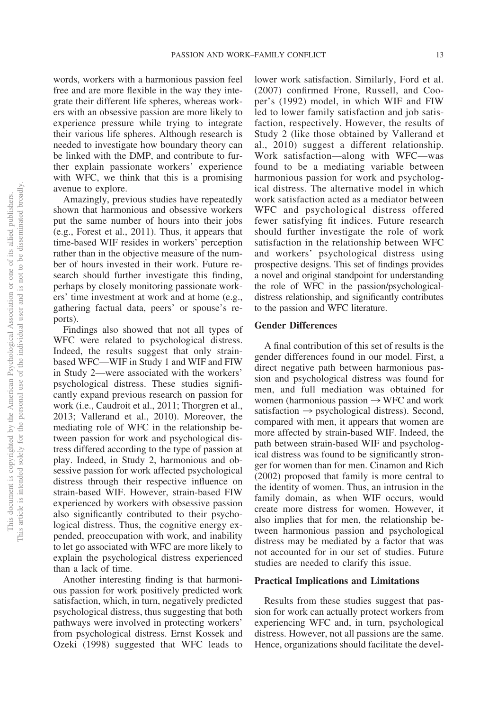words, workers with a harmonious passion feel free and are more flexible in the way they integrate their different life spheres, whereas workers with an obsessive passion are more likely to experience pressure while trying to integrate their various life spheres. Although research is needed to investigate how boundary theory can be linked with the DMP, and contribute to further explain passionate workers' experience with WFC, we think that this is a promising avenue to explore.

Amazingly, previous studies have repeatedly shown that harmonious and obsessive workers put the same number of hours into their jobs (e.g., Forest et al., 2011). Thus, it appears that time-based WIF resides in workers' perception rather than in the objective measure of the number of hours invested in their work. Future research should further investigate this finding, perhaps by closely monitoring passionate workers' time investment at work and at home (e.g., gathering factual data, peers' or spouse's reports).

Findings also showed that not all types of WFC were related to psychological distress. Indeed, the results suggest that only strainbased WFC—WIF in Study 1 and WIF and FIW in Study 2—were associated with the workers' psychological distress. These studies significantly expand previous research on passion for work (i.e., Caudroit et al., 2011; Thorgren et al., 2013; Vallerand et al., 2010). Moreover, the mediating role of WFC in the relationship between passion for work and psychological distress differed according to the type of passion at play. Indeed, in Study 2, harmonious and obsessive passion for work affected psychological distress through their respective influence on strain-based WIF. However, strain-based FIW experienced by workers with obsessive passion also significantly contributed to their psychological distress. Thus, the cognitive energy expended, preoccupation with work, and inability to let go associated with WFC are more likely to explain the psychological distress experienced than a lack of time.

Another interesting finding is that harmonious passion for work positively predicted work satisfaction, which, in turn, negatively predicted psychological distress, thus suggesting that both pathways were involved in protecting workers' from psychological distress. [Ernst Kossek and](#page-15-0) [Ozeki \(1998\)](#page-15-0) suggested that WFC leads to

lower work satisfaction. Similarly, Ford et al. (2007) confirmed Frone, Russell, and Cooper's (1992) model, in which WIF and FIW led to lower family satisfaction and job satisfaction, respectively. However, the results of Study 2 (like those obtained by Vallerand et al., 2010) suggest a different relationship. Work satisfaction—along with WFC—was found to be a mediating variable between harmonious passion for work and psychological distress. The alternative model in which work satisfaction acted as a mediator between WFC and psychological distress offered fewer satisfying fit indices. Future research should further investigate the role of work satisfaction in the relationship between WFC and workers' psychological distress using prospective designs. This set of findings provides a novel and original standpoint for understanding the role of WFC in the passion/psychologicaldistress relationship, and significantly contributes to the passion and WFC literature.

#### **Gender Differences**

A final contribution of this set of results is the gender differences found in our model. First, a direct negative path between harmonious passion and psychological distress was found for men, and full mediation was obtained for women (harmonious passion  $\rightarrow$  WFC and work satisfaction  $\rightarrow$  psychological distress). Second, compared with men, it appears that women are more affected by strain-based WIF. Indeed, the path between strain-based WIF and psychological distress was found to be significantly stronger for women than for men. Cinamon and Rich (2002) proposed that family is more central to the identity of women. Thus, an intrusion in the family domain, as when WIF occurs, would create more distress for women. However, it also implies that for men, the relationship between harmonious passion and psychological distress may be mediated by a factor that was not accounted for in our set of studies. Future studies are needed to clarify this issue.

#### **Practical Implications and Limitations**

Results from these studies suggest that passion for work can actually protect workers from experiencing WFC and, in turn, psychological distress. However, not all passions are the same. Hence, organizations should facilitate the devel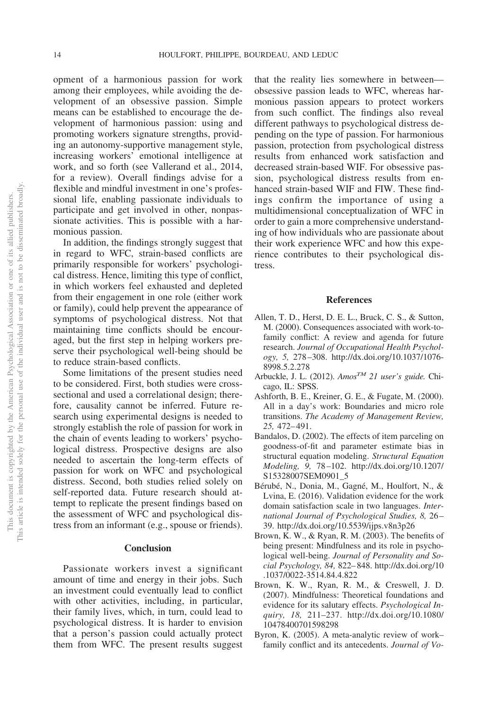opment of a harmonious passion for work among their employees, while avoiding the development of an obsessive passion. Simple means can be established to encourage the development of harmonious passion: using and promoting workers signature strengths, providing an autonomy-supportive management style, increasing workers' emotional intelligence at work, and so forth (see Vallerand et al., 2014, for a review). Overall findings advise for a flexible and mindful investment in one's professional life, enabling passionate individuals to participate and get involved in other, nonpassionate activities. This is possible with a harmonious passion.

In addition, the findings strongly suggest that in regard to WFC, strain-based conflicts are primarily responsible for workers' psychological distress. Hence, limiting this type of conflict, in which workers feel exhausted and depleted from their engagement in one role (either work or family), could help prevent the appearance of symptoms of psychological distress. Not that maintaining time conflicts should be encouraged, but the first step in helping workers preserve their psychological well-being should be to reduce strain-based conflicts.

Some limitations of the present studies need to be considered. First, both studies were crosssectional and used a correlational design; therefore, causality cannot be inferred. Future research using experimental designs is needed to strongly establish the role of passion for work in the chain of events leading to workers' psychological distress. Prospective designs are also needed to ascertain the long-term effects of passion for work on WFC and psychological distress. Second, both studies relied solely on self-reported data. Future research should attempt to replicate the present findings based on the assessment of WFC and psychological distress from an informant (e.g., spouse or friends).

#### **Conclusion**

Passionate workers invest a significant amount of time and energy in their jobs. Such an investment could eventually lead to conflict with other activities, including, in particular, their family lives, which, in turn, could lead to psychological distress. It is harder to envision that a person's passion could actually protect them from WFC. The present results suggest that the reality lies somewhere in between obsessive passion leads to WFC, whereas harmonious passion appears to protect workers from such conflict. The findings also reveal different pathways to psychological distress depending on the type of passion. For harmonious passion, protection from psychological distress results from enhanced work satisfaction and decreased strain-based WIF. For obsessive passion, psychological distress results from enhanced strain-based WIF and FIW. These findings confirm the importance of using a multidimensional conceptualization of WFC in order to gain a more comprehensive understanding of how individuals who are passionate about their work experience WFC and how this experience contributes to their psychological distress.

#### **References**

- Allen, T. D., Herst, D. E. L., Bruck, C. S., & Sutton, M. (2000). Consequences associated with work-tofamily conflict: A review and agenda for future research. *Journal of Occupational Health Psychology, 5,* 278–308. [http://dx.doi.org/10.1037/1076-](http://dx.doi.org/10.1037/1076-8998.5.2.278) [8998.5.2.278](http://dx.doi.org/10.1037/1076-8998.5.2.278)
- Arbuckle, J. L. (2012). *AmosTM 21 user's guide.* Chicago, IL: SPSS.
- Ashforth, B. E., Kreiner, G. E., & Fugate, M. (2000). All in a day's work: Boundaries and micro role transitions. *The Academy of Management Review, 25,* 472–491.
- Bandalos, D. (2002). The effects of item parceling on goodness-of-fit and parameter estimate bias in structural equation modeling. *Structural Equation Modeling, 9,* 78–102. [http://dx.doi.org/10.1207/](http://dx.doi.org/10.1207/S15328007SEM0901_5) [S15328007SEM0901\\_5](http://dx.doi.org/10.1207/S15328007SEM0901_5)
- Bérubé, N., Donia, M., Gagné, M., Houlfort, N., & Lvina, E. (2016). Validation evidence for the work domain satisfaction scale in two languages. *International Journal of Psychological Studies, 8,* 26– 39.<http://dx.doi.org/10.5539/ijps.v8n3p26>
- Brown, K. W., & Ryan, R. M. (2003). The benefits of being present: Mindfulness and its role in psychological well-being. *Journal of Personality and Social Psychology, 84,* 822–848. [http://dx.doi.org/10](http://dx.doi.org/10.1037/0022-3514.84.4.822) [.1037/0022-3514.84.4.822](http://dx.doi.org/10.1037/0022-3514.84.4.822)
- Brown, K. W., Ryan, R. M., & Creswell, J. D. (2007). Mindfulness: Theoretical foundations and evidence for its salutary effects. *Psychological Inquiry, 18,* 211–237. [http://dx.doi.org/10.1080/](http://dx.doi.org/10.1080/10478400701598298) [10478400701598298](http://dx.doi.org/10.1080/10478400701598298)
- Byron, K. (2005). A meta-analytic review of work– family conflict and its antecedents. *Journal of Vo-*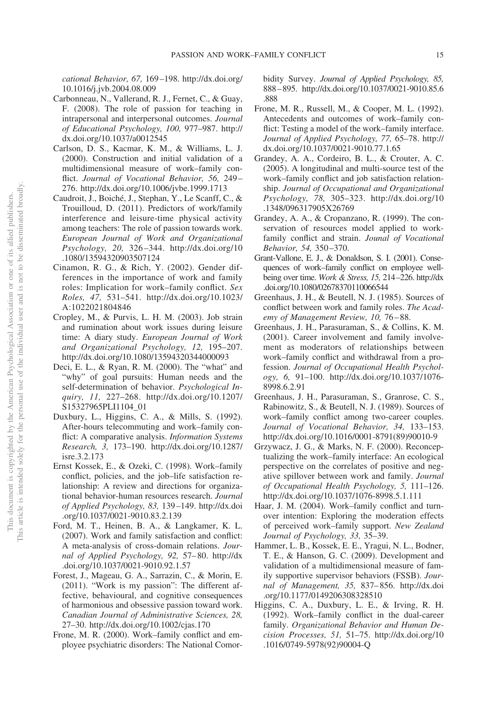*cational Behavior, 67,* 169–198. [http://dx.doi.org/](http://dx.doi.org/10.1016/j.jvb.2004.08.009) [10.1016/j.jvb.2004.08.009](http://dx.doi.org/10.1016/j.jvb.2004.08.009)

- Carbonneau, N., Vallerand, R. J., Fernet, C., & Guay, F. (2008). The role of passion for teaching in intrapersonal and interpersonal outcomes. *Journal of Educational Psychology, 100,* 977–987. [http://](http://dx.doi.org/10.1037/a0012545) [dx.doi.org/10.1037/a0012545](http://dx.doi.org/10.1037/a0012545)
- Carlson, D. S., Kacmar, K. M., & Williams, L. J. (2000). Construction and initial validation of a multidimensional measure of work–family conflict. *Journal of Vocational Behavior, 56,* 249– 276.<http://dx.doi.org/10.1006/jvbe.1999.1713>
- Caudroit, J., Boiché, J., Stephan, Y., Le Scanff, C., & Trouilloud, D. (2011). Predictors of work/family interference and leisure-time physical activity among teachers: The role of passion towards work. *European Journal of Work and Organizational Psychology, 20,* 326–344. [http://dx.doi.org/10](http://dx.doi.org/10.1080/13594320903507124) [.1080/13594320903507124](http://dx.doi.org/10.1080/13594320903507124)
- Cinamon, R. G., & Rich, Y. (2002). Gender differences in the importance of work and family roles: Implication for work–family conflict. *Sex Roles, 47,* 531–541. [http://dx.doi.org/10.1023/](http://dx.doi.org/10.1023/A:1022021804846) [A:1022021804846](http://dx.doi.org/10.1023/A:1022021804846)
- Cropley, M., & Purvis, L. H. M. (2003). Job strain and rumination about work issues during leisure time: A diary study. *European Journal of Work and Organizational Psychology, 12,* 195–207. <http://dx.doi.org/10.1080/13594320344000093>
- Deci, E. L., & Ryan, R. M. (2000). The "what" and "why" of goal pursuits: Human needs and the self-determination of behavior. *Psychological Inquiry, 11,* 227–268. [http://dx.doi.org/10.1207/](http://dx.doi.org/10.1207/S15327965PLI1104_01) [S15327965PLI1104\\_01](http://dx.doi.org/10.1207/S15327965PLI1104_01)
- Duxbury, L., Higgins, C. A., & Mills, S. (1992). After-hours telecommuting and work–family conflict: A comparative analysis. *Information Systems Research, 3,* 173–190. [http://dx.doi.org/10.1287/](http://dx.doi.org/10.1287/isre.3.2.173) [isre.3.2.173](http://dx.doi.org/10.1287/isre.3.2.173)
- <span id="page-15-0"></span>Ernst Kossek, E., & Ozeki, C. (1998). Work–family conflict, policies, and the job–life satisfaction relationship: A review and directions for organizational behavior-human resources research. *Journal of Applied Psychology, 83,* 139–149. [http://dx.doi](http://dx.doi.org/10.1037/0021-9010.83.2.139) [.org/10.1037/0021-9010.83.2.139](http://dx.doi.org/10.1037/0021-9010.83.2.139)
- Ford, M. T., Heinen, B. A., & Langkamer, K. L. (2007). Work and family satisfaction and conflict: A meta-analysis of cross-domain relations. *Journal of Applied Psychology, 92,* 57–80. [http://dx](http://dx.doi.org/10.1037/0021-9010.92.1.57) [.doi.org/10.1037/0021-9010.92.1.57](http://dx.doi.org/10.1037/0021-9010.92.1.57)
- Forest, J., Mageau, G. A., Sarrazin, C., & Morin, E. (2011). "Work is my passion": The different affective, behavioural, and cognitive consequences of harmonious and obsessive passion toward work. *Canadian Journal of Administrative Sciences, 28,* 27–30.<http://dx.doi.org/10.1002/cjas.170>
- Frone, M. R. (2000). Work–family conflict and employee psychiatric disorders: The National Comor-

bidity Survey. *Journal of Applied Psychology, 85,* 888–895. [http://dx.doi.org/10.1037/0021-9010.85.6](http://dx.doi.org/10.1037/0021-9010.85.6.888) [.888](http://dx.doi.org/10.1037/0021-9010.85.6.888)

- Frone, M. R., Russell, M., & Cooper, M. L. (1992). Antecedents and outcomes of work–family conflict: Testing a model of the work–family interface. *Journal of Applied Psychology, 77,* 65–78. [http://](http://dx.doi.org/10.1037/0021-9010.77.1.65) [dx.doi.org/10.1037/0021-9010.77.1.65](http://dx.doi.org/10.1037/0021-9010.77.1.65)
- Grandey, A. A., Cordeiro, B. L., & Crouter, A. C. (2005). A longitudinal and multi-source test of the work–family conflict and job satisfaction relationship. *Journal of Occupational and Organizational Psychology, 78,* 305–323. [http://dx.doi.org/10](http://dx.doi.org/10.1348/096317905X26769) [.1348/096317905X26769](http://dx.doi.org/10.1348/096317905X26769)
- Grandey, A. A., & Cropanzano, R. (1999). The conservation of resources model applied to workfamily conflict and strain. *Jounal of Vocational Behavior, 54,* 350–370.
- Grant-Vallone, E. J., & Donaldson, S. I. (2001). Consequences of work–family conflict on employee wellbeing over time. *Work & Stress, 15,* 214–226. [http://dx](http://dx.doi.org/10.1080/02678370110066544) [.doi.org/10.1080/02678370110066544](http://dx.doi.org/10.1080/02678370110066544)
- Greenhaus, J. H., & Beutell, N. J. (1985). Sources of conflict between work and family roles. *The Academy of Management Review, 10,* 76–88.
- Greenhaus, J. H., Parasuraman, S., & Collins, K. M. (2001). Career involvement and family involvement as moderators of relationships between work–family conflict and withdrawal from a profession. *Journal of Occupational Health Psychology, 6,* 91–100. [http://dx.doi.org/10.1037/1076-](http://dx.doi.org/10.1037/1076-8998.6.2.91) [8998.6.2.91](http://dx.doi.org/10.1037/1076-8998.6.2.91)
- Greenhaus, J. H., Parasuraman, S., Granrose, C. S., Rabinowitz, S., & Beutell, N. J. (1989). Sources of work–family conflict among two-career couples. *Journal of Vocational Behavior, 34,* 133–153. [http://dx.doi.org/10.1016/0001-8791\(89\)90010-9](http://dx.doi.org/10.1016/0001-8791%2889%2990010-9)
- Grzywacz, J. G., & Marks, N. F. (2000). Reconceptualizing the work–family interface: An ecological perspective on the correlates of positive and negative spillover between work and family. *Journal of Occupational Health Psychology, 5,* 111–126. <http://dx.doi.org/10.1037/1076-8998.5.1.111>
- Haar, J. M. (2004). Work–family conflict and turnover intention: Exploring the moderation effects of perceived work–family support. *New Zealand Journal of Psychology, 33,* 35–39.
- Hammer, L. B., Kossek, E. E., Yragui, N. L., Bodner, T. E., & Hanson, G. C. (2009). Development and validation of a multidimensional measure of family supportive supervisor behaviors (FSSB). *Journal of Management, 35,* 837–856. [http://dx.doi](http://dx.doi.org/10.1177/0149206308328510) [.org/10.1177/0149206308328510](http://dx.doi.org/10.1177/0149206308328510)
- Higgins, C. A., Duxbury, L. E., & Irving, R. H. (1992). Work–family conflict in the dual-career family. *Organizational Behavior and Human Decision Processes, 51,* 51–75. [http://dx.doi.org/10](http://dx.doi.org/10.1016/0749-5978%2892%2990004-Q) [.1016/0749-5978\(92\)90004-Q](http://dx.doi.org/10.1016/0749-5978%2892%2990004-Q)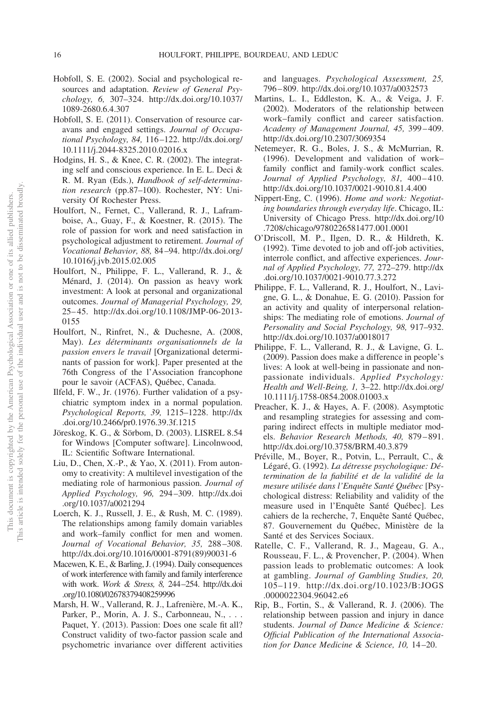- Hobfoll, S. E. (2002). Social and psychological resources and adaptation. *Review of General Psychology, 6,* 307–324. [http://dx.doi.org/10.1037/](http://dx.doi.org/10.1037/1089-2680.6.4.307) [1089-2680.6.4.307](http://dx.doi.org/10.1037/1089-2680.6.4.307)
- <span id="page-16-0"></span>Hobfoll, S. E. (2011). Conservation of resource caravans and engaged settings. *Journal of Occupational Psychology, 84,* 116–122. [http://dx.doi.org/](http://dx.doi.org/10.1111/j.2044-8325.2010.02016.x) [10.1111/j.2044-8325.2010.02016.x](http://dx.doi.org/10.1111/j.2044-8325.2010.02016.x)
- Hodgins, H. S., & Knee, C. R. (2002). The integrating self and conscious experience. In E. L. Deci & R. M. Ryan (Eds.), *Handbook of self-determination research* (pp.87–100). Rochester, NY: University Of Rochester Press.
- Houlfort, N., Fernet, C., Vallerand, R. J., Laframboise, A., Guay, F., & Koestner, R. (2015). The role of passion for work and need satisfaction in psychological adjustment to retirement. *Journal of Vocational Behavior, 88,* 84–94. [http://dx.doi.org/](http://dx.doi.org/10.1016/j.jvb.2015.02.005) [10.1016/j.jvb.2015.02.005](http://dx.doi.org/10.1016/j.jvb.2015.02.005)
- Houlfort, N., Philippe, F. L., Vallerand, R. J., & Ménard, J. (2014). On passion as heavy work investment: A look at personal and organizational outcomes. *Journal of Managerial Psychology, 29,* 25–45. [http://dx.doi.org/10.1108/JMP-06-2013-](http://dx.doi.org/10.1108/JMP-06-2013-0155) [0155](http://dx.doi.org/10.1108/JMP-06-2013-0155)
- Houlfort, N., Rinfret, N., & Duchesne, A. (2008, May). *Les déterminants organisationnels de la passion envers le travail* [Organizational determinants of passion for work]. Paper presented at the 76th Congress of the l'Association francophone pour le savoir (ACFAS), Québec, Canada.
- Ilfeld, F. W., Jr. (1976). Further validation of a psychiatric symptom index in a normal population. *Psychological Reports, 39,* 1215–1228. [http://dx](http://dx.doi.org/10.2466/pr0.1976.39.3f.1215) [.doi.org/10.2466/pr0.1976.39.3f.1215](http://dx.doi.org/10.2466/pr0.1976.39.3f.1215)
- <span id="page-16-1"></span>Jöreskog, K. G., & Sörbom, D. (2003). LISREL 8.54 for Windows [Computer software]. Lincolnwood, IL: Scientific Software International.
- Liu, D., Chen, X.-P., & Yao, X. (2011). From autonomy to creativity: A multilevel investigation of the mediating role of harmonious passion. *Journal of Applied Psychology, 96,* 294–309. [http://dx.doi](http://dx.doi.org/10.1037/a0021294) [.org/10.1037/a0021294](http://dx.doi.org/10.1037/a0021294)
- Loerch, K. J., Russell, J. E., & Rush, M. C. (1989). The relationships among family domain variables and work–family conflict for men and women. *Journal of Vocational Behavior, 35,* 288–308. [http://dx.doi.org/10.1016/0001-8791\(89\)90031-6](http://dx.doi.org/10.1016/0001-8791%2889%2990031-6)
- Macewen, K. E., & Barling, J. (1994). Daily consequences of work interference with family and family interference with work. *Work & Stress, 8,* 244–254. [http://dx.doi](http://dx.doi.org/10.1080/02678379408259996) [.org/10.1080/02678379408259996](http://dx.doi.org/10.1080/02678379408259996)
- Marsh, H. W., Vallerand, R. J., Lafrenière, M.-A. K., Parker, P., Morin, A. J. S., Carbonneau, N., Paquet, Y. (2013). Passion: Does one scale fit all? Construct validity of two-factor passion scale and psychometric invariance over different activities

and languages. *Psychological Assessment, 25,* 796–809.<http://dx.doi.org/10.1037/a0032573>

- Martins, L. I., Eddleston, K. A., & Veiga, J. F. (2002). Moderators of the relationship between work–family conflict and career satisfaction. *Academy of Management Journal, 45,* 399–409. <http://dx.doi.org/10.2307/3069354>
- Netemeyer, R. G., Boles, J. S., & McMurrian, R. (1996). Development and validation of work– family conflict and family-work conflict scales. *Journal of Applied Psychology, 81,* 400–410. <http://dx.doi.org/10.1037/0021-9010.81.4.400>
- Nippert-Eng, C. (1996). *Home and work: Negotiating boundaries through everyday life*. Chicago, IL: University of Chicago Press. [http://dx.doi.org/10](http://dx.doi.org/10.7208/chicago/9780226581477.001.0001) [.7208/chicago/9780226581477.001.0001](http://dx.doi.org/10.7208/chicago/9780226581477.001.0001)
- O'Driscoll, M. P., Ilgen, D. R., & Hildreth, K. (1992). Time devoted to job and off-job activities, interrole conflict, and affective experiences. *Journal of Applied Psychology, 77,* 272–279. [http://dx](http://dx.doi.org/10.1037/0021-9010.77.3.272) [.doi.org/10.1037/0021-9010.77.3.272](http://dx.doi.org/10.1037/0021-9010.77.3.272)
- Philippe, F. L., Vallerand, R. J., Houlfort, N., Lavigne, G. L., & Donahue, E. G. (2010). Passion for an activity and quality of interpersonal relationships: The mediating role of emotions. *Journal of Personality and Social Psychology, 98,* 917–932. <http://dx.doi.org/10.1037/a0018017>
- Philippe, F. L., Vallerand, R. J., & Lavigne, G. L. (2009). Passion does make a difference in people's lives: A look at well-being in passionate and nonpassionate individuals. *Applied Psychology: Health and Well-Being, 1,* 3–22. [http://dx.doi.org/](http://dx.doi.org/10.1111/j.1758-0854.2008.01003.x) [10.1111/j.1758-0854.2008.01003.x](http://dx.doi.org/10.1111/j.1758-0854.2008.01003.x)
- Preacher, K. J., & Hayes, A. F. (2008). Asymptotic and resampling strategies for assessing and comparing indirect effects in multiple mediator models. *Behavior Research Methods, 40,* 879–891. <http://dx.doi.org/10.3758/BRM.40.3.879>
- Préville, M., Boyer, R., Potvin, L., Perrault, C., & Légaré, G. (1992). *La détresse psychologique: Détermination de la fiabilité et de la validité de la mesure utilisée dans l'Enquête Santé Québec* [Psychological distress: Reliability and validity of the measure used in l'Enquête Santé Québec]. Les cahiers de la recherche, 7, Enquête Santé Québec, 87. Gouvernement du Québec, Ministère de la Santé et des Services Sociaux.
- Ratelle, C. F., Vallerand, R. J., Mageau, G. A., Rousseau, F. L., & Provencher, P. (2004). When passion leads to problematic outcomes: A look at gambling. *Journal of Gambling Studies, 20,* 105–119. [http://dx.doi.org/10.1023/B:JOGS](http://dx.doi.org/10.1023/B:JOGS.0000022304.96042.e6) [.0000022304.96042.e6](http://dx.doi.org/10.1023/B:JOGS.0000022304.96042.e6)
- Rip, B., Fortin, S., & Vallerand, R. J. (2006). The relationship between passion and injury in dance students. *Journal of Dance Medicine & Science: Official Publication of the International Association for Dance Medicine & Science, 10,* 14–20.